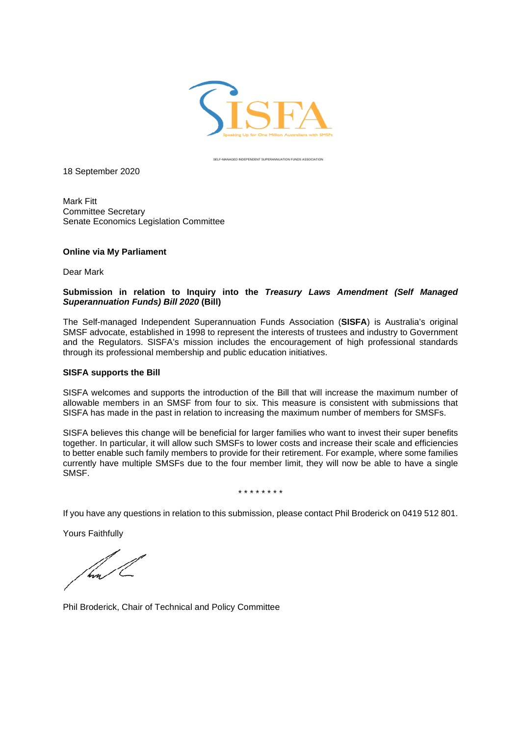

SELF-MANAGED INDEPENDENT SUPERANNUATION FUNDS ASSOCIATION

18 September 2020

Mark Fitt Committee Secretary Senate Economics Legislation Committee

## **Online via My Parliament**

Dear Mark

## **Submission in relation to Inquiry into the** *Treasury Laws Amendment (Self Managed Superannuation Funds) Bill 2020* **(Bill)**

The Self-managed Independent Superannuation Funds Association (**SISFA**) is Australia's original SMSF advocate, established in 1998 to represent the interests of trustees and industry to Government and the Regulators. SISFA's mission includes the encouragement of high professional standards through its professional membership and public education initiatives.

## **SISFA supports the Bill**

SISFA welcomes and supports the introduction of the Bill that will increase the maximum number of allowable members in an SMSF from four to six. This measure is consistent with submissions that SISFA has made in the past in relation to increasing the maximum number of members for SMSFs.

SISFA believes this change will be beneficial for larger families who want to invest their super benefits together. In particular, it will allow such SMSFs to lower costs and increase their scale and efficiencies to better enable such family members to provide for their retirement. For example, where some families currently have multiple SMSFs due to the four member limit, they will now be able to have a single SMSF.

\* \* \* \* \* \* \* \*

If you have any questions in relation to this submission, please contact Phil Broderick on 0419 512 801.

Yours Faithfully

hm

Phil Broderick, Chair of Technical and Policy Committee